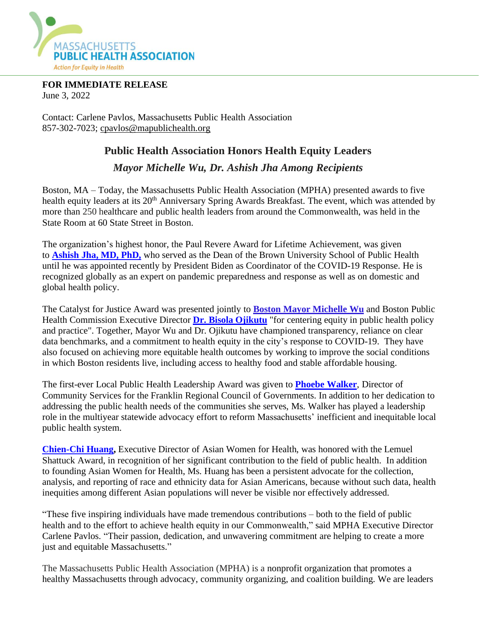

**FOR IMMEDIATE RELEASE** June 3, 2022

Contact: Carlene Pavlos, Massachusetts Public Health Association 857-302-7023; [cpavlos@mapublichealth.org](mailto:cpavlos@mapublichealth.org)

## **Public Health Association Honors Health Equity Leaders**

## *Mayor Michelle Wu, Dr. Ashish Jha Among Recipients*

Boston, MA – Today, the Massachusetts Public Health Association (MPHA) presented awards to five health equity leaders at its 20<sup>th</sup> Anniversary Spring Awards Breakfast. The event, which was attended by more than 250 healthcare and public health leaders from around the Commonwealth, was held in the State Room at 60 State Street in Boston.

The organization's highest honor, the Paul Revere Award for Lifetime Achievement, was given to **[Ashish](https://nam12.safelinks.protection.outlook.com/?url=https%3A%2F%2Fmapublichealth.org%2Fashish-jha-md%2F&data=05%7C01%7C%7C761ad29f2e024af0dbc808da44b4d6cf%7C84df9e7fe9f640afb435aaaaaaaaaaaa%7C1%7C0%7C637897840766217704%7CUnknown%7CTWFpbGZsb3d8eyJWIjoiMC4wLjAwMDAiLCJQIjoiV2luMzIiLCJBTiI6Ik1haWwiLCJXVCI6Mn0%3D%7C3000%7C%7C%7C&sdata=xI3PAZ27IYyWtI9A53pXxRAYQEkI0FbugssHuVrr2nA%3D&reserved=0) Jha, MD, PhD,** who served as the Dean of the Brown University School of Public Health until he was appointed recently by President Biden as Coordinator of the COVID-19 Response. He is recognized globally as an expert on pandemic preparedness and response as well as on domestic and global health policy.

The Catalyst for Justice Award was presented jointly to **Boston Mayor [Michelle](https://nam12.safelinks.protection.outlook.com/?url=https%3A%2F%2Fmapublichealth.org%2Fmayor-michelle-wu%2F&data=05%7C01%7C%7C761ad29f2e024af0dbc808da44b4d6cf%7C84df9e7fe9f640afb435aaaaaaaaaaaa%7C1%7C0%7C637897840766217704%7CUnknown%7CTWFpbGZsb3d8eyJWIjoiMC4wLjAwMDAiLCJQIjoiV2luMzIiLCJBTiI6Ik1haWwiLCJXVCI6Mn0%3D%7C3000%7C%7C%7C&sdata=XYm%2F1LXPOU3k7T567vr%2BLme%2BzF4IGI1giFC4Pjn1nq8%3D&reserved=0) Wu** and Boston Public Health Commission Executive Director **Dr. Bisola [Ojikutu](https://nam12.safelinks.protection.outlook.com/?url=https%3A%2F%2Fmapublichealth.org%2Fdr-bisola-ojikutu%2F&data=05%7C01%7C%7C761ad29f2e024af0dbc808da44b4d6cf%7C84df9e7fe9f640afb435aaaaaaaaaaaa%7C1%7C0%7C637897840766217704%7CUnknown%7CTWFpbGZsb3d8eyJWIjoiMC4wLjAwMDAiLCJQIjoiV2luMzIiLCJBTiI6Ik1haWwiLCJXVCI6Mn0%3D%7C3000%7C%7C%7C&sdata=OR2oZETsHiD65GOXJ5%2FpGoLTgMlK2I%2BLR5pGEBClBUs%3D&reserved=0)** "for centering equity in public health policy and practice". Together, Mayor Wu and Dr. Ojikutu have championed transparency, reliance on clear data benchmarks, and a commitment to health equity in the city's response to COVID-19. They have also focused on achieving more equitable health outcomes by working to improve the social conditions in which Boston residents live, including access to healthy food and stable affordable housing.

The first-ever Local Public Health Leadership Award was given to **Phoebe [Walker](https://nam12.safelinks.protection.outlook.com/?url=https%3A%2F%2Fmapublichealth.org%2Fphoebe-walker%2F&data=05%7C01%7C%7C761ad29f2e024af0dbc808da44b4d6cf%7C84df9e7fe9f640afb435aaaaaaaaaaaa%7C1%7C0%7C637897840766217704%7CUnknown%7CTWFpbGZsb3d8eyJWIjoiMC4wLjAwMDAiLCJQIjoiV2luMzIiLCJBTiI6Ik1haWwiLCJXVCI6Mn0%3D%7C3000%7C%7C%7C&sdata=k0XjGWfdcqLw5%2BK6LCMdUKY%2BNQ1bHJ6DwgjDBWBvEK0%3D&reserved=0)**, Director of Community Services for the Franklin Regional Council of Governments. In addition to her dedication to addressing the public health needs of the communities she serves, Ms. Walker has played a leadership role in the multiyear statewide advocacy effort to reform Massachusetts' inefficient and inequitable local public health system.

**[Chien-Chi](https://nam12.safelinks.protection.outlook.com/?url=https%3A%2F%2Fmapublichealth.org%2Fchien-chi-huang%2F&data=05%7C01%7C%7C761ad29f2e024af0dbc808da44b4d6cf%7C84df9e7fe9f640afb435aaaaaaaaaaaa%7C1%7C0%7C637897840766217704%7CUnknown%7CTWFpbGZsb3d8eyJWIjoiMC4wLjAwMDAiLCJQIjoiV2luMzIiLCJBTiI6Ik1haWwiLCJXVCI6Mn0%3D%7C3000%7C%7C%7C&sdata=USBTAh6vXHw7Y2iCsWNLGLxFK4EaBtokUhzU8YmEgKQ%3D&reserved=0) Huang,** Executive Director of Asian Women for Health, was honored with the Lemuel Shattuck Award, in recognition of her significant contribution to the field of public health. In addition to founding Asian Women for Health, Ms. Huang has been a persistent advocate for the collection, analysis, and reporting of race and ethnicity data for Asian Americans, because without such data, health inequities among different Asian populations will never be visible nor effectively addressed.

"These five inspiring individuals have made tremendous contributions – both to the field of public health and to the effort to achieve health equity in our Commonwealth," said MPHA Executive Director Carlene Pavlos. "Their passion, dedication, and unwavering commitment are helping to create a more just and equitable Massachusetts."

The Massachusetts Public Health Association (MPHA) is a nonprofit organization that promotes a healthy Massachusetts through advocacy, community organizing, and coalition building. We are leaders